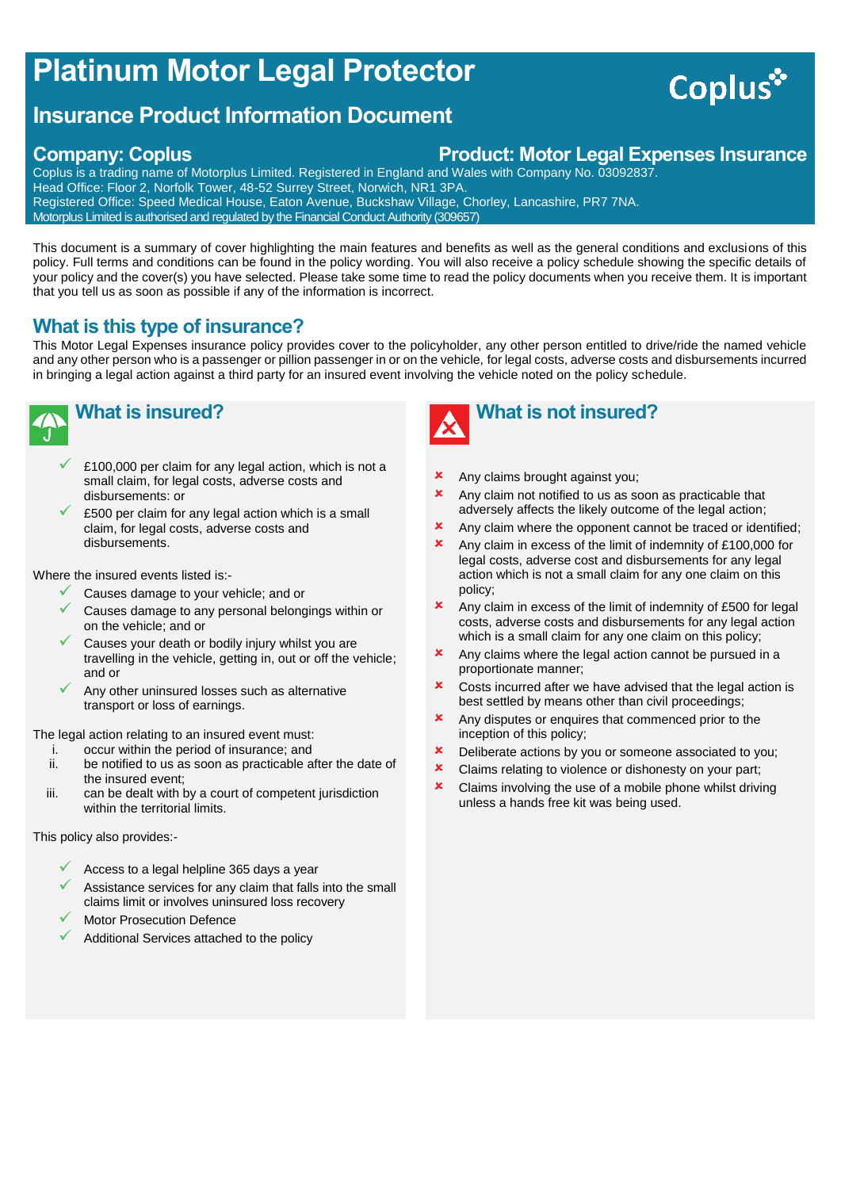# **Platinum Motor Legal Protector**

# **Insurance Product Information Document**

## **Company: Coplus Product: Motor Legal Expenses Insurance**

Coplus is a trading name of Motorplus Limited. Registered in England and Wales with Company No. 03092837. Head Office: Floor 2, Norfolk Tower, 48-52 Surrey Street, Norwich, NR1 3PA. Registered Office: Speed Medical House, Eaton Avenue, Buckshaw Village, Chorley, Lancashire, PR7 7NA. Motorplus Limited is authorised and regulated by the Financial Conduct Authority (309657)

This document is a summary of cover highlighting the main features and benefits as well as the general conditions and exclusions of this policy. Full terms and conditions can be found in the policy wording. You will also receive a policy schedule showing the specific details of your policy and the cover(s) you have selected. Please take some time to read the policy documents when you receive them. It is important that you tell us as soon as possible if any of the information is incorrect.

# **What is this type of insurance?**

This Motor Legal Expenses insurance policy provides cover to the policyholder, any other person entitled to drive/ride the named vehicle and any other person who is a passenger or pillion passenger in or on the vehicle, for legal costs, adverse costs and disbursements incurred in bringing a legal action against a third party for an insured event involving the vehicle noted on the policy schedule.



- £100,000 per claim for any legal action, which is not a small claim, for legal costs, adverse costs and disbursements: or
- £500 per claim for any legal action which is a small claim, for legal costs, adverse costs and disbursements.

Where the insured events listed is:-

- Causes damage to your vehicle; and or
- Causes damage to any personal belongings within or on the vehicle; and or
- Causes your death or bodily injury whilst you are travelling in the vehicle, getting in, out or off the vehicle; and or
- Any other uninsured losses such as alternative transport or loss of earnings.

The legal action relating to an insured event must:

- 
- i. occur within the period of insurance; and<br>ii. be notified to us as soon as practicable a be notified to us as soon as practicable after the date of the insured event;
- iii. can be dealt with by a court of competent jurisdiction within the territorial limits.

This policy also provides:-

- Access to a legal helpline 365 days a year
- Assistance services for any claim that falls into the small claims limit or involves uninsured loss recovery
- Motor Prosecution Defence
- Additional Services attached to the policy



- Any claims brought against you;
- Any claim not notified to us as soon as practicable that adversely affects the likely outcome of the legal action;
- **x** Any claim where the opponent cannot be traced or identified;
- Any claim in excess of the limit of indemnity of £100,000 for legal costs, adverse cost and disbursements for any legal action which is not a small claim for any one claim on this policy;
- Any claim in excess of the limit of indemnity of £500 for legal costs, adverse costs and disbursements for any legal action which is a small claim for any one claim on this policy;
- Any claims where the legal action cannot be pursued in a proportionate manner;
- Costs incurred after we have advised that the legal action is best settled by means other than civil proceedings;
- **x** Any disputes or enquires that commenced prior to the inception of this policy;
- **x** Deliberate actions by you or someone associated to you;
- **x** Claims relating to violence or dishonesty on your part:
- $\star$  Claims involving the use of a mobile phone whilst driving unless a hands free kit was being used.